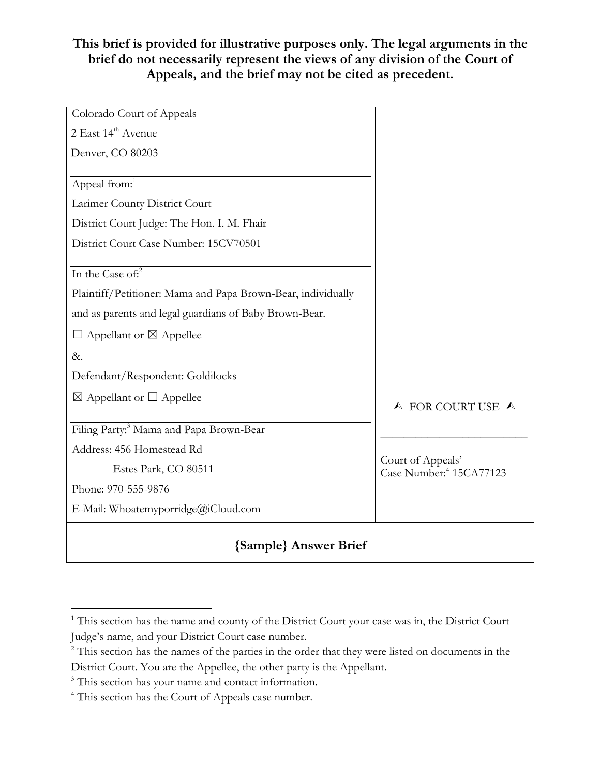### **This brief is provided for illustrative purposes only. The legal arguments in the brief do not necessarily represent the views of any division of the Court of Appeals, and the brief may not be cited as precedent.**

| Colorado Court of Appeals                                    |                                                          |
|--------------------------------------------------------------|----------------------------------------------------------|
| 2 East 14 <sup>th</sup> Avenue                               |                                                          |
| Denver, CO 80203                                             |                                                          |
|                                                              |                                                          |
| Appeal from: <sup>1</sup>                                    |                                                          |
| Larimer County District Court                                |                                                          |
| District Court Judge: The Hon. I. M. Fhair                   |                                                          |
| District Court Case Number: 15CV70501                        |                                                          |
|                                                              |                                                          |
| In the Case of: $2^2$                                        |                                                          |
| Plaintiff/Petitioner: Mama and Papa Brown-Bear, individually |                                                          |
| and as parents and legal guardians of Baby Brown-Bear.       |                                                          |
| $\Box$ Appellant or $\boxtimes$ Appellee                     |                                                          |
| &.                                                           |                                                          |
| Defendant/Respondent: Goldilocks                             |                                                          |
| $\boxtimes$ Appellant or $\square$ Appellee                  |                                                          |
|                                                              | A FOR COURT USE A                                        |
| Filing Party: <sup>3</sup> Mama and Papa Brown-Bear          |                                                          |
| Address: 456 Homestead Rd                                    |                                                          |
| Estes Park, CO 80511                                         | Court of Appeals'<br>Case Number: <sup>4</sup> 15CA77123 |
| Phone: 970-555-9876                                          |                                                          |
| E-Mail: Whoatemyporridge@iCloud.com                          |                                                          |
|                                                              |                                                          |

## **{Sample} Answer Brief**

<sup>&</sup>lt;sup>1</sup> This section has the name and county of the District Court your case was in, the District Court Judge's name, and your District Court case number.

<sup>&</sup>lt;sup>2</sup> This section has the names of the parties in the order that they were listed on documents in the District Court. You are the Appellee, the other party is the Appellant.

<sup>&</sup>lt;sup>3</sup> This section has your name and contact information.

<sup>4</sup> This section has the Court of Appeals case number.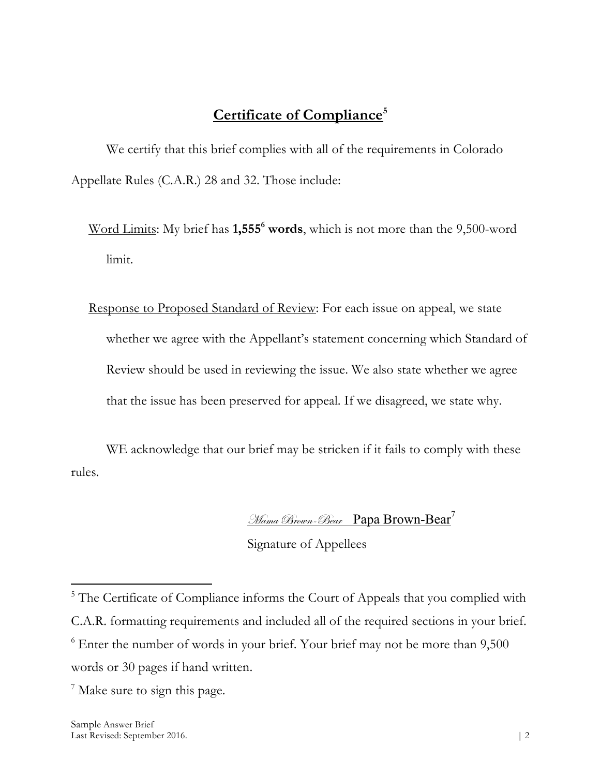# **Certificate of Compliance5**

We certify that this brief complies with all of the requirements in Colorado Appellate Rules (C.A.R.) 28 and 32. Those include:

- Word Limits: My brief has **1,5556 words**, which is not more than the 9,500-word limit.
- Response to Proposed Standard of Review: For each issue on appeal, we state whether we agree with the Appellant's statement concerning which Standard of Review should be used in reviewing the issue. We also state whether we agree that the issue has been preserved for appeal. If we disagreed, we state why.

WE acknowledge that our brief may be stricken if it fails to comply with these rules.

#### Mama Brown-Bear Papa Brown-Bear<sup>7</sup>

Signature of Appellees

 $\overline{a}$ <sup>5</sup> The Certificate of Compliance informs the Court of Appeals that you complied with C.A.R. formatting requirements and included all of the required sections in your brief.  $6$  Enter the number of words in your brief. Your brief may not be more than  $9,500$ words or 30 pages if hand written.

<sup>7</sup> Make sure to sign this page.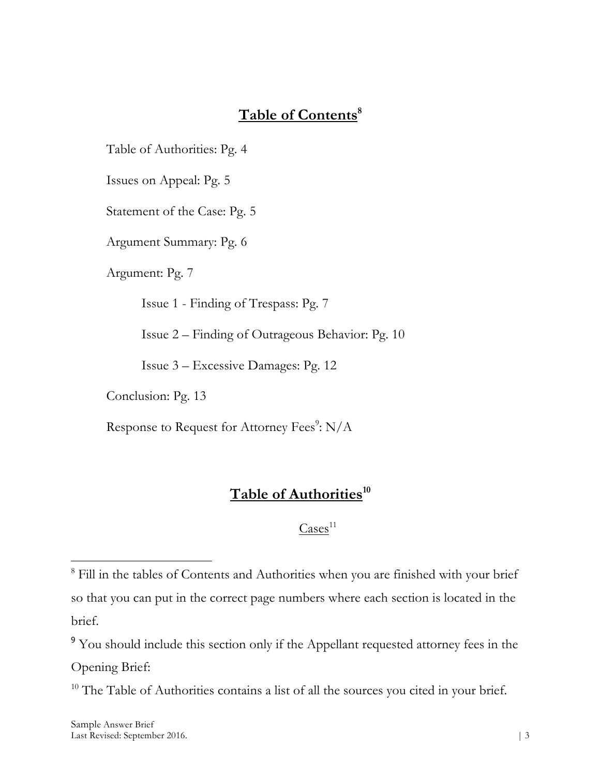# Table of Contents<sup>8</sup>

Table of Authorities: Pg. 4

Issues on Appeal: Pg. 5

Statement of the Case: Pg. 5

Argument Summary: Pg. 6

Argument: Pg. 7

Issue 1 - Finding of Trespass: Pg. 7

Issue 2 – Finding of Outrageous Behavior: Pg. 10

Issue 3 – Excessive Damages: Pg. 12

Conclusion: Pg. 13

Response to Request for Attorney Fees<sup>9</sup>: N/A

### Table of Authorities<sup>10</sup>

 $\text{Case} \mathsf{s}^{11}$ 

<sup>9</sup> You should include this section only if the Appellant requested attorney fees in the

Opening Brief:

 $\overline{a}$ 

 $10$  The Table of Authorities contains a list of all the sources you cited in your brief.

<sup>&</sup>lt;sup>8</sup> Fill in the tables of Contents and Authorities when you are finished with your brief so that you can put in the correct page numbers where each section is located in the brief.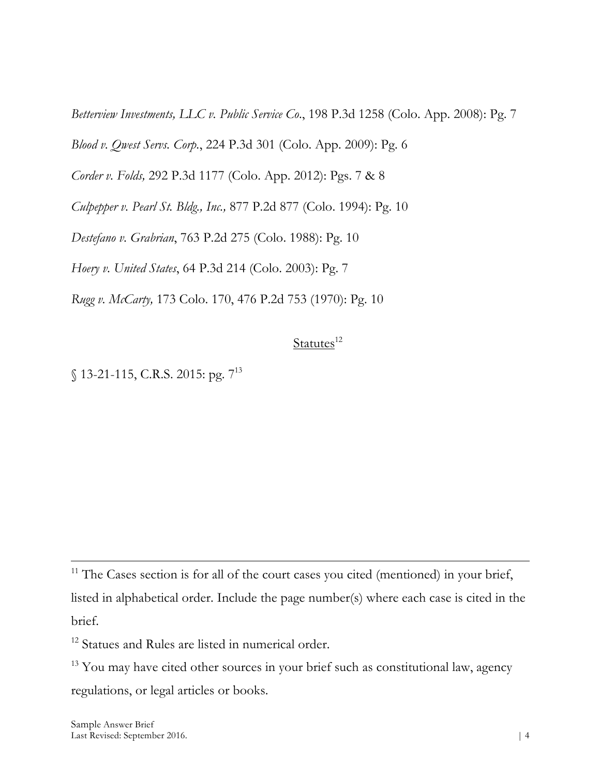*Betterview Investments, LLC v. Public Service Co*., 198 P.3d 1258 (Colo. App. 2008): Pg. 7

*Blood v. Qwest Servs. Corp.*, 224 P.3d 301 (Colo. App. 2009): Pg. 6

*Corder v. Folds,* 292 P.3d 1177 (Colo. App. 2012): Pgs. 7 & 8

*Culpepper v. Pearl St. Bldg., Inc.,* 877 P.2d 877 (Colo. 1994): Pg. 10

*Destefano v. Grabrian*, 763 P.2d 275 (Colo. 1988): Pg. 10

*Hoery v. United States*, 64 P.3d 214 (Colo. 2003): Pg. 7

*Rugg v. McCarty,* 173 Colo. 170, 476 P.2d 753 (1970): Pg. 10

### Statutes<sup>12</sup>

§ 13-21-115, C.R.S. 2015: pg. 7<sup>13</sup>

<sup>11</sup> The Cases section is for all of the court cases you cited (mentioned) in your brief, listed in alphabetical order. Include the page number(s) where each case is cited in the brief.

<sup>12</sup> Statues and Rules are listed in numerical order.

<sup>13</sup> You may have cited other sources in your brief such as constitutional law, agency regulations, or legal articles or books.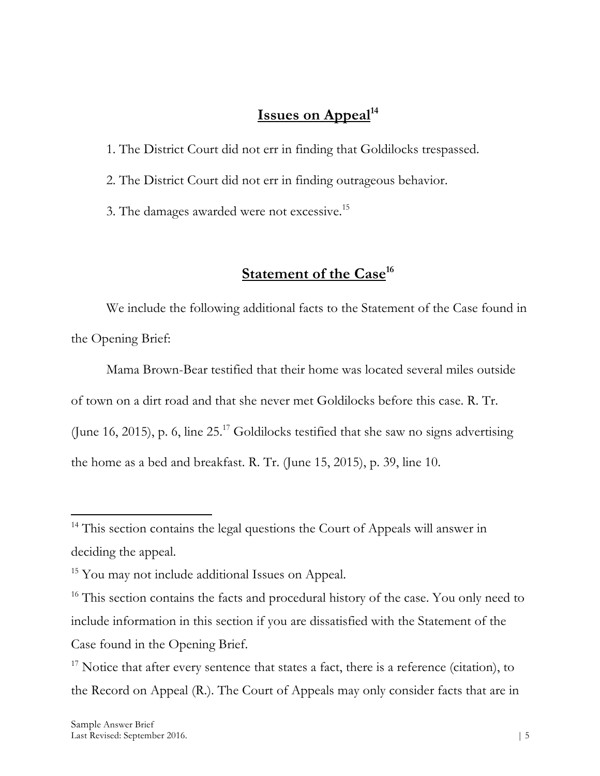### **Issues on Appeal**<sup>14</sup>

1. The District Court did not err in finding that Goldilocks trespassed.

2. The District Court did not err in finding outrageous behavior.

3. The damages awarded were not excessive.15

## **<u>Statement of the Case</u><sup>16</sup></u>**

We include the following additional facts to the Statement of the Case found in the Opening Brief:

Mama Brown-Bear testified that their home was located several miles outside of town on a dirt road and that she never met Goldilocks before this case. R. Tr. (June 16, 2015), p. 6, line 25. <sup>17</sup> Goldilocks testified that she saw no signs advertising the home as a bed and breakfast. R. Tr. (June 15, 2015), p. 39, line 10.

 $14$  This section contains the legal questions the Court of Appeals will answer in deciding the appeal.

<sup>&</sup>lt;sup>15</sup> You may not include additional Issues on Appeal.

<sup>&</sup>lt;sup>16</sup> This section contains the facts and procedural history of the case. You only need to include information in this section if you are dissatisfied with the Statement of the Case found in the Opening Brief.

 $17$  Notice that after every sentence that states a fact, there is a reference (citation), to the Record on Appeal (R.). The Court of Appeals may only consider facts that are in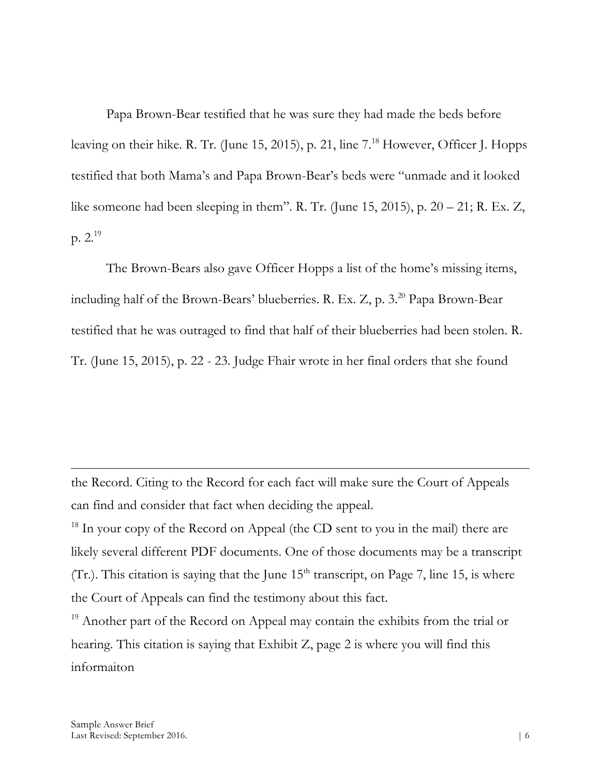Papa Brown-Bear testified that he was sure they had made the beds before leaving on their hike. R. Tr. (June 15, 2015), p. 21, line 7. <sup>18</sup> However, Officer J. Hopps testified that both Mama's and Papa Brown-Bear's beds were "unmade and it looked like someone had been sleeping in them". R. Tr. (June 15, 2015), p.  $20 - 21$ ; R. Ex. Z, p.  $2.^{19}$ 

The Brown-Bears also gave Officer Hopps a list of the home's missing items, including half of the Brown-Bears' blueberries. R. Ex. Z, p. 3. <sup>20</sup> Papa Brown-Bear testified that he was outraged to find that half of their blueberries had been stolen. R. Tr. (June 15, 2015), p. 22 - 23. Judge Fhair wrote in her final orders that she found

the Record. Citing to the Record for each fact will make sure the Court of Appeals can find and consider that fact when deciding the appeal.

 $18$  In your copy of the Record on Appeal (the CD sent to you in the mail) there are likely several different PDF documents. One of those documents may be a transcript (Tr.). This citation is saying that the June  $15<sup>th</sup>$  transcript, on Page 7, line 15, is where the Court of Appeals can find the testimony about this fact.

<sup>19</sup> Another part of the Record on Appeal may contain the exhibits from the trial or hearing. This citation is saying that Exhibit Z, page 2 is where you will find this informaiton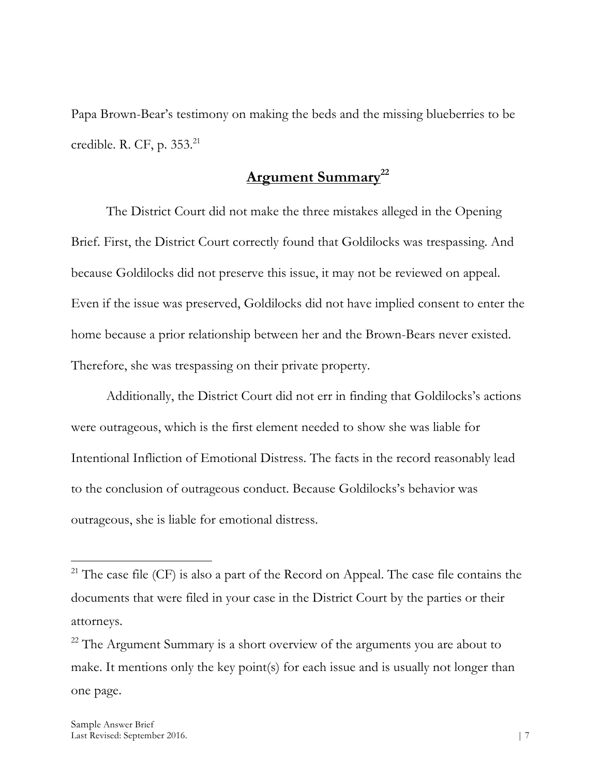Papa Brown-Bear's testimony on making the beds and the missing blueberries to be credible. R. CF, p. 353. 21

# **Argument Summary22**

The District Court did not make the three mistakes alleged in the Opening Brief. First, the District Court correctly found that Goldilocks was trespassing. And because Goldilocks did not preserve this issue, it may not be reviewed on appeal. Even if the issue was preserved, Goldilocks did not have implied consent to enter the home because a prior relationship between her and the Brown-Bears never existed. Therefore, she was trespassing on their private property.

Additionally, the District Court did not err in finding that Goldilocks's actions were outrageous, which is the first element needed to show she was liable for Intentional Infliction of Emotional Distress. The facts in the record reasonably lead to the conclusion of outrageous conduct. Because Goldilocks's behavior was outrageous, she is liable for emotional distress.

 $21$ <sup>21</sup> The case file (CF) is also a part of the Record on Appeal. The case file contains the documents that were filed in your case in the District Court by the parties or their attorneys.

 $22$  The Argument Summary is a short overview of the arguments you are about to make. It mentions only the key point(s) for each issue and is usually not longer than one page.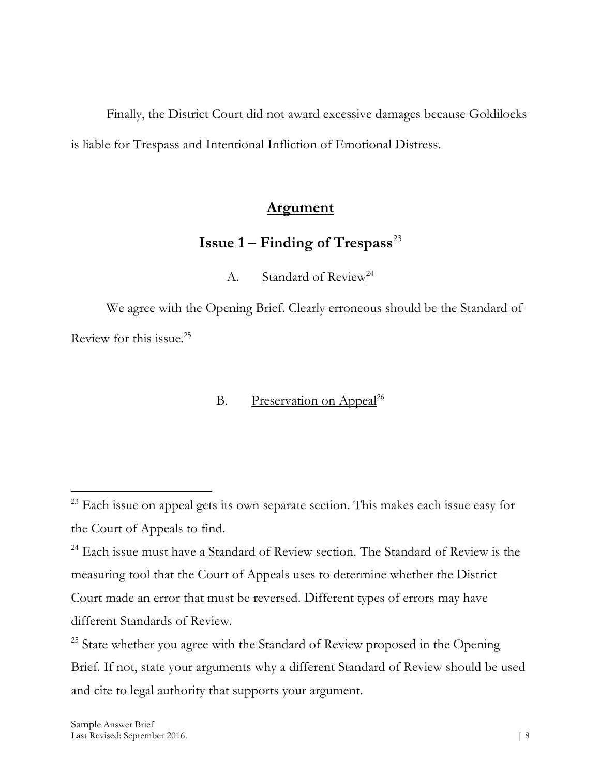Finally, the District Court did not award excessive damages because Goldilocks is liable for Trespass and Intentional Infliction of Emotional Distress.

### **Argument**

## **Issue**  $1 -$  **Finding of Trespass**<sup>23</sup>

A. Standard of Review<sup>24</sup>

We agree with the Opening Brief. Clearly erroneous should be the Standard of Review for this issue. 25

### B. Preservation on Appeal<sup>26</sup>

<sup>24</sup> Each issue must have a Standard of Review section. The Standard of Review is the measuring tool that the Court of Appeals uses to determine whether the District Court made an error that must be reversed. Different types of errors may have different Standards of Review.

<sup>25</sup> State whether you agree with the Standard of Review proposed in the Opening Brief. If not, state your arguments why a different Standard of Review should be used and cite to legal authority that supports your argument.

 $\overline{a}$  $23$  Each issue on appeal gets its own separate section. This makes each issue easy for the Court of Appeals to find.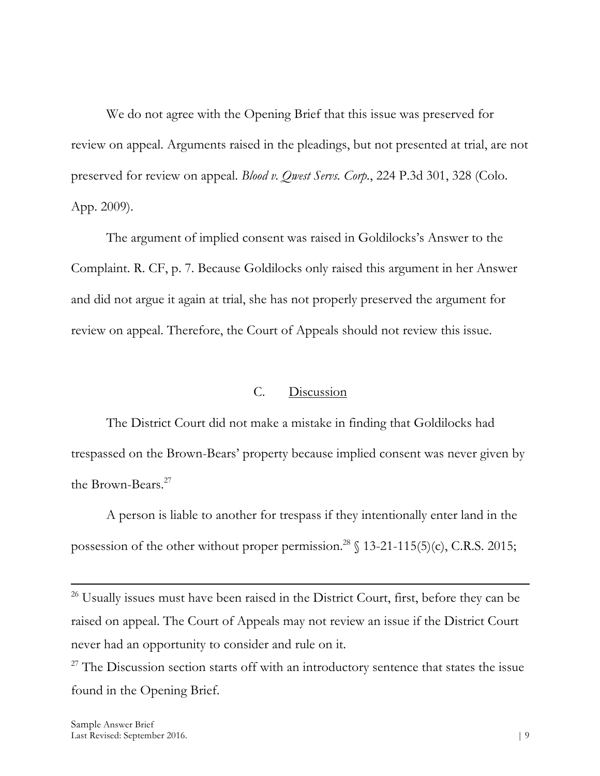We do not agree with the Opening Brief that this issue was preserved for review on appeal. Arguments raised in the pleadings, but not presented at trial, are not preserved for review on appeal. *Blood v. Qwest Servs. Corp.*, 224 P.3d 301, 328 (Colo. App. 2009).

The argument of implied consent was raised in Goldilocks's Answer to the Complaint. R. CF, p. 7. Because Goldilocks only raised this argument in her Answer and did not argue it again at trial, she has not properly preserved the argument for review on appeal. Therefore, the Court of Appeals should not review this issue.

#### C. Discussion

The District Court did not make a mistake in finding that Goldilocks had trespassed on the Brown-Bears' property because implied consent was never given by the Brown-Bears.<sup>27</sup>

A person is liable to another for trespass if they intentionally enter land in the possession of the other without proper permission.<sup>28</sup>  $\{13-21-115(5)(c), C.R.S. 2015;$ 

<sup>26</sup> Usually issues must have been raised in the District Court, first, before they can be raised on appeal. The Court of Appeals may not review an issue if the District Court never had an opportunity to consider and rule on it.

 $27$  The Discussion section starts off with an introductory sentence that states the issue found in the Opening Brief.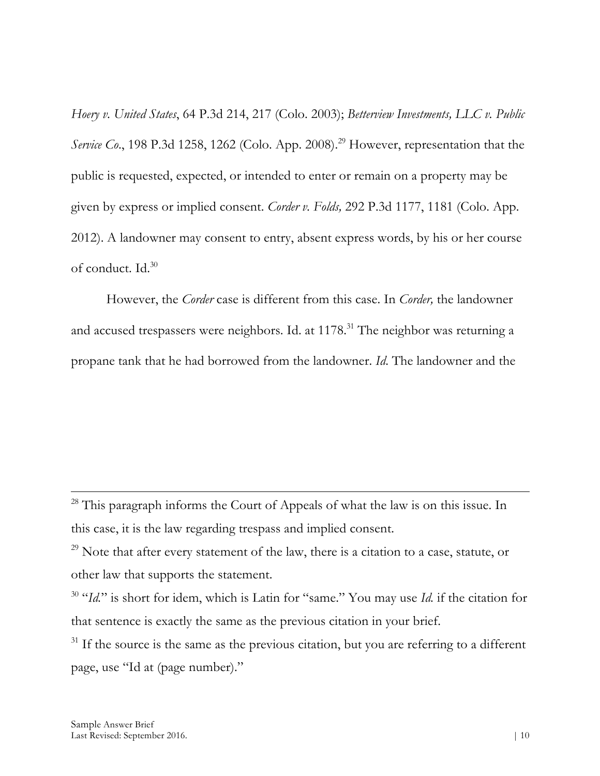*Hoery v. United States*, 64 P.3d 214, 217 (Colo. 2003); *Betterview Investments, LLC v. Public Service Co*., 198 P.3d 1258, 1262 (Colo. App. 2008). <sup>29</sup> However, representation that the public is requested, expected, or intended to enter or remain on a property may be given by express or implied consent. *Corder v. Folds,* 292 P.3d 1177, 1181 (Colo. App. 2012). A landowner may consent to entry, absent express words, by his or her course of conduct. Id.<sup>30</sup>

However, the *Corder* case is different from this case. In *Corder,* the landowner and accused trespassers were neighbors. Id. at 1178.<sup>31</sup> The neighbor was returning a propane tank that he had borrowed from the landowner. *Id*. The landowner and the

 $28$  This paragraph informs the Court of Appeals of what the law is on this issue. In this case, it is the law regarding trespass and implied consent.

 $^{29}$  Note that after every statement of the law, there is a citation to a case, statute, or other law that supports the statement.

<sup>30</sup> "*Id.*" is short for idem, which is Latin for "same." You may use *Id.* if the citation for that sentence is exactly the same as the previous citation in your brief.

 $31$  If the source is the same as the previous citation, but you are referring to a different page, use "Id at (page number)."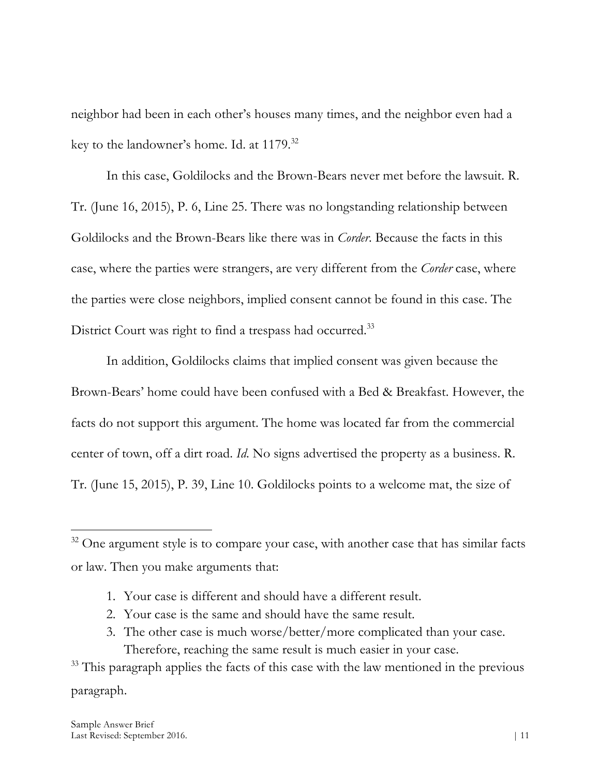neighbor had been in each other's houses many times, and the neighbor even had a key to the landowner's home. Id. at 1179.32

In this case, Goldilocks and the Brown-Bears never met before the lawsuit. R. Tr. (June 16, 2015), P. 6, Line 25. There was no longstanding relationship between Goldilocks and the Brown-Bears like there was in *Corder*. Because the facts in this case, where the parties were strangers, are very different from the *Corder* case, where the parties were close neighbors, implied consent cannot be found in this case. The District Court was right to find a trespass had occurred.<sup>33</sup>

In addition, Goldilocks claims that implied consent was given because the Brown-Bears' home could have been confused with a Bed & Breakfast. However, the facts do not support this argument. The home was located far from the commercial center of town, off a dirt road. *Id*. No signs advertised the property as a business. R. Tr. (June 15, 2015), P. 39, Line 10. Goldilocks points to a welcome mat, the size of

- 1. Your case is different and should have a different result.
- 2. Your case is the same and should have the same result.
- 3. The other case is much worse/better/more complicated than your case. Therefore, reaching the same result is much easier in your case.

 $32$  One argument style is to compare your case, with another case that has similar facts or law. Then you make arguments that:

<sup>&</sup>lt;sup>33</sup> This paragraph applies the facts of this case with the law mentioned in the previous paragraph.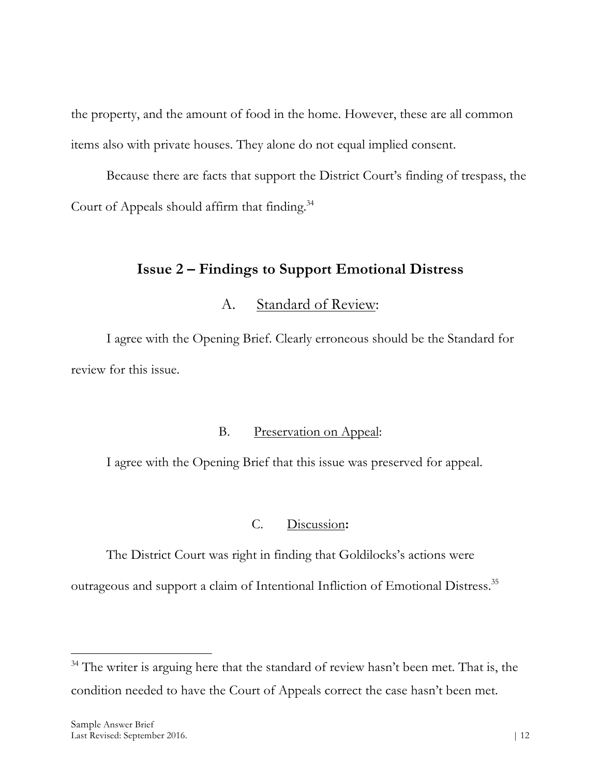the property, and the amount of food in the home. However, these are all common items also with private houses. They alone do not equal implied consent.

Because there are facts that support the District Court's finding of trespass, the Court of Appeals should affirm that finding. 34

### **Issue 2 – Findings to Support Emotional Distress**

### A. Standard of Review:

I agree with the Opening Brief. Clearly erroneous should be the Standard for review for this issue.

### B. Preservation on Appeal:

I agree with the Opening Brief that this issue was preserved for appeal.

#### C. Discussion**:**

The District Court was right in finding that Goldilocks's actions were

outrageous and support a claim of Intentional Infliction of Emotional Distress.35

 $34$  The writer is arguing here that the standard of review hasn't been met. That is, the condition needed to have the Court of Appeals correct the case hasn't been met.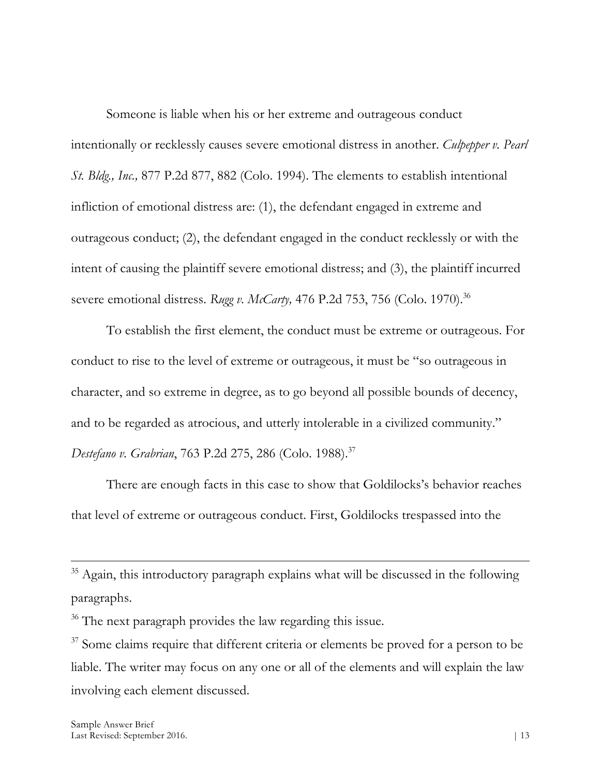Someone is liable when his or her extreme and outrageous conduct intentionally or recklessly causes severe emotional distress in another. *Culpepper v. Pearl St. Bldg., Inc.,* 877 P.2d 877, 882 (Colo. 1994). The elements to establish intentional infliction of emotional distress are: (1), the defendant engaged in extreme and outrageous conduct; (2), the defendant engaged in the conduct recklessly or with the intent of causing the plaintiff severe emotional distress; and (3), the plaintiff incurred severe emotional distress. *Rugg v. McCarty*, 476 P.2d 753, 756 (Colo. 1970).<sup>36</sup>

To establish the first element, the conduct must be extreme or outrageous. For conduct to rise to the level of extreme or outrageous, it must be "so outrageous in character, and so extreme in degree, as to go beyond all possible bounds of decency, and to be regarded as atrocious, and utterly intolerable in a civilized community." *Destefano v. Grabrian*, 763 P.2d 275, 286 (Colo. 1988).37

There are enough facts in this case to show that Goldilocks's behavior reaches that level of extreme or outrageous conduct. First, Goldilocks trespassed into the

 $35$  Again, this introductory paragraph explains what will be discussed in the following paragraphs.

<sup>&</sup>lt;sup>36</sup> The next paragraph provides the law regarding this issue.

<sup>&</sup>lt;sup>37</sup> Some claims require that different criteria or elements be proved for a person to be liable. The writer may focus on any one or all of the elements and will explain the law involving each element discussed.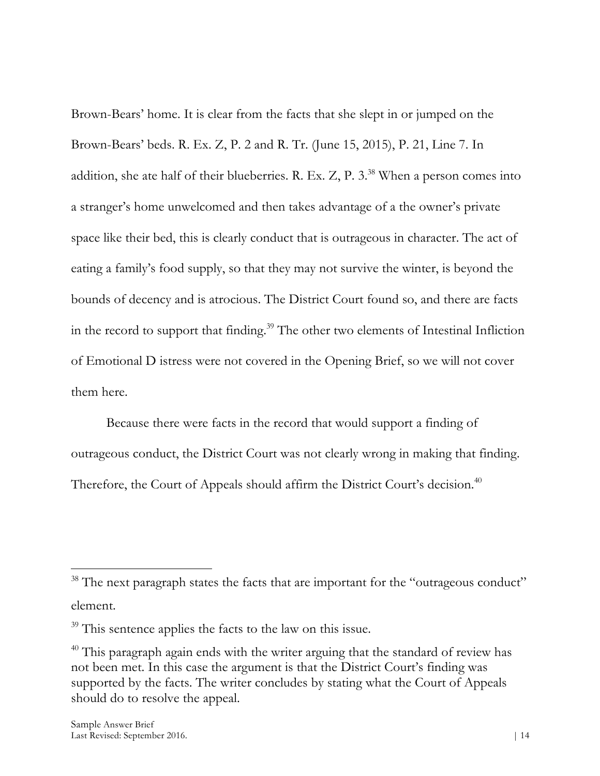Brown-Bears' home. It is clear from the facts that she slept in or jumped on the Brown-Bears' beds. R. Ex. Z, P. 2 and R. Tr. (June 15, 2015), P. 21, Line 7. In addition, she ate half of their blueberries. R. Ex. Z, P.  $3.^{38}$  When a person comes into a stranger's home unwelcomed and then takes advantage of a the owner's private space like their bed, this is clearly conduct that is outrageous in character. The act of eating a family's food supply, so that they may not survive the winter, is beyond the bounds of decency and is atrocious. The District Court found so, and there are facts in the record to support that finding. <sup>39</sup> The other two elements of Intestinal Infliction of Emotional D istress were not covered in the Opening Brief, so we will not cover them here.

Because there were facts in the record that would support a finding of outrageous conduct, the District Court was not clearly wrong in making that finding. Therefore, the Court of Appeals should affirm the District Court's decision.<sup>40</sup>

<sup>&</sup>lt;sup>38</sup> The next paragraph states the facts that are important for the "outrageous conduct" element.

<sup>&</sup>lt;sup>39</sup> This sentence applies the facts to the law on this issue.

<sup>&</sup>lt;sup>40</sup> This paragraph again ends with the writer arguing that the standard of review has not been met. In this case the argument is that the District Court's finding was supported by the facts. The writer concludes by stating what the Court of Appeals should do to resolve the appeal.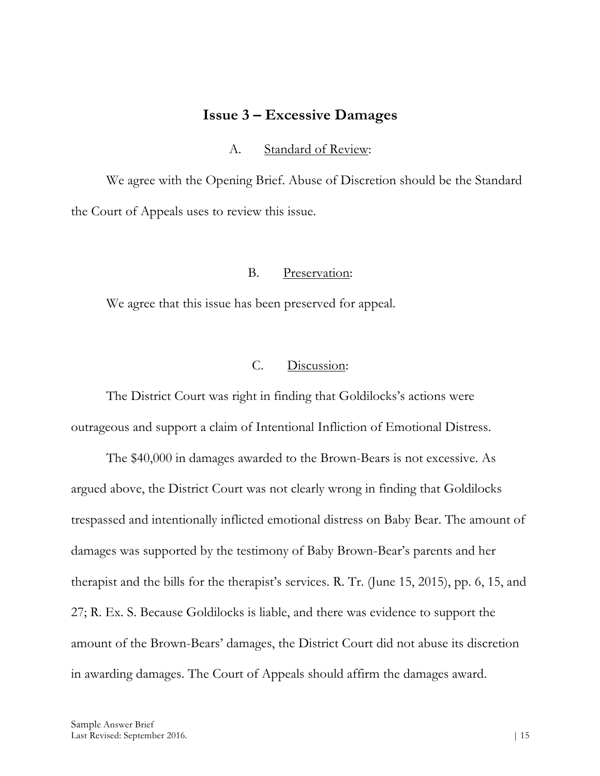#### **Issue 3 – Excessive Damages**

A. Standard of Review:

We agree with the Opening Brief. Abuse of Discretion should be the Standard the Court of Appeals uses to review this issue.

#### B. Preservation:

We agree that this issue has been preserved for appeal.

#### C. Discussion:

The District Court was right in finding that Goldilocks's actions were outrageous and support a claim of Intentional Infliction of Emotional Distress.

The \$40,000 in damages awarded to the Brown-Bears is not excessive. As argued above, the District Court was not clearly wrong in finding that Goldilocks trespassed and intentionally inflicted emotional distress on Baby Bear. The amount of damages was supported by the testimony of Baby Brown-Bear's parents and her therapist and the bills for the therapist's services. R. Tr. (June 15, 2015), pp. 6, 15, and 27; R. Ex. S. Because Goldilocks is liable, and there was evidence to support the amount of the Brown-Bears' damages, the District Court did not abuse its discretion in awarding damages. The Court of Appeals should affirm the damages award.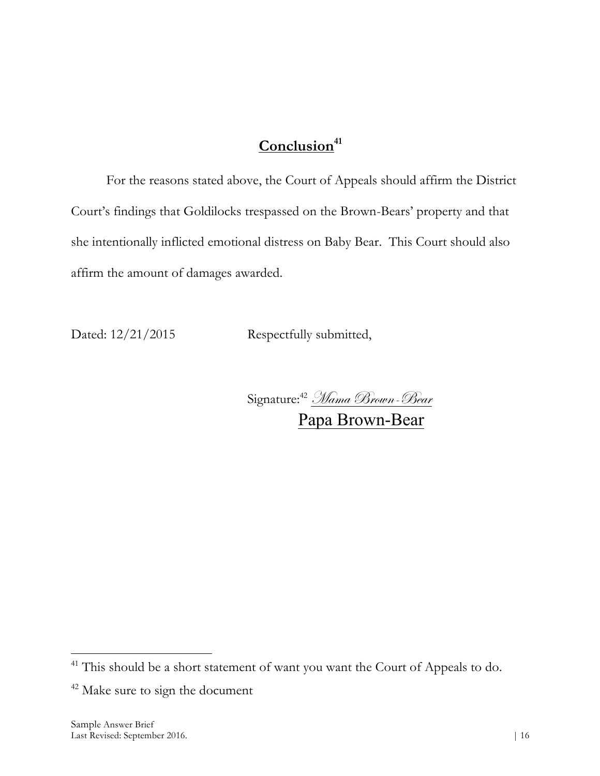# Conclusion<sup>41</sup>

For the reasons stated above, the Court of Appeals should affirm the District Court's findings that Goldilocks trespassed on the Brown-Bears' property and that she intentionally inflicted emotional distress on Baby Bear. This Court should also affirm the amount of damages awarded.

Dated:  $12/21/2015$  Respectfully submitted,

Signature: <sup>42</sup> Mama Brown-Bear Papa Brown-Bear

<sup>&</sup>lt;sup>41</sup> This should be a short statement of want you want the Court of Appeals to do.

<sup>&</sup>lt;sup>42</sup> Make sure to sign the document